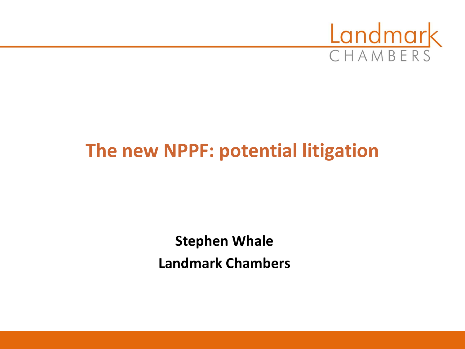

# **The new NPPF: potential litigation**

**Stephen Whale Landmark Chambers**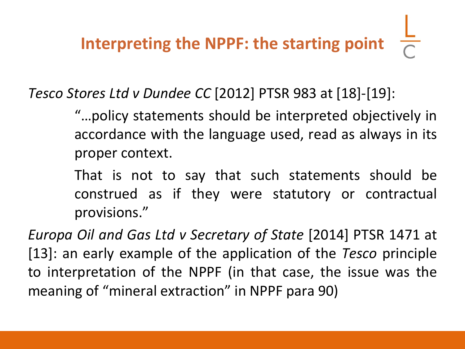*Tesco Stores Ltd v Dundee CC* [2012] PTSR 983 at [18]-[19]:

"…policy statements should be interpreted objectively in accordance with the language used, read as always in its proper context.

That is not to say that such statements should be construed as if they were statutory or contractual provisions."

*Europa Oil and Gas Ltd v Secretary of State* [2014] PTSR 1471 at [13]: an early example of the application of the *Tesco* principle to interpretation of the NPPF (in that case, the issue was the meaning of "mineral extraction" in NPPF para 90)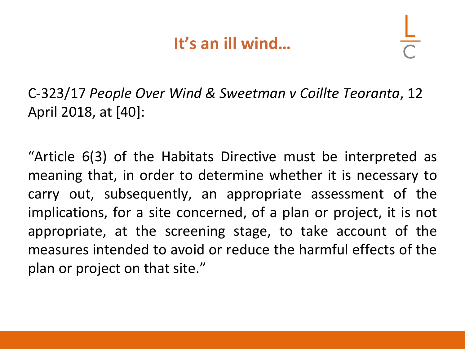### **It's an ill wind…**

C-323/17 *People Over Wind & Sweetman v Coillte Teoranta*, 12 April 2018, at [40]:

"Article 6(3) of the Habitats Directive must be interpreted as meaning that, in order to determine whether it is necessary to carry out, subsequently, an appropriate assessment of the implications, for a site concerned, of a plan or project, it is not appropriate, at the screening stage, to take account of the measures intended to avoid or reduce the harmful effects of the plan or project on that site."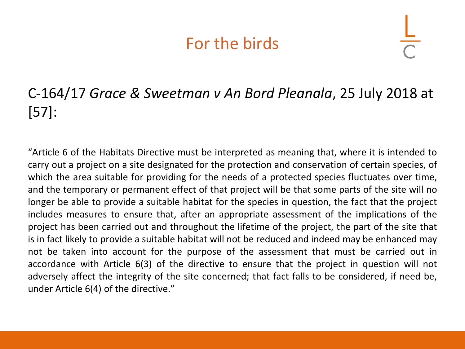#### For the birds

#### C-164/17 *Grace & Sweetman v An Bord Pleanala*, 25 July 2018 at [57]:

"Article 6 of the Habitats Directive must be interpreted as meaning that, where it is intended to carry out a project on a site designated for the protection and conservation of certain species, of which the area suitable for providing for the needs of a protected species fluctuates over time, and the temporary or permanent effect of that project will be that some parts of the site will no longer be able to provide a suitable habitat for the species in question, the fact that the project includes measures to ensure that, after an appropriate assessment of the implications of the project has been carried out and throughout the lifetime of the project, the part of the site that is in fact likely to provide a suitable habitat will not be reduced and indeed may be enhanced may not be taken into account for the purpose of the assessment that must be carried out in accordance with Article 6(3) of the directive to ensure that the project in question will not adversely affect the integrity of the site concerned; that fact falls to be considered, if need be, under Article 6(4) of the directive."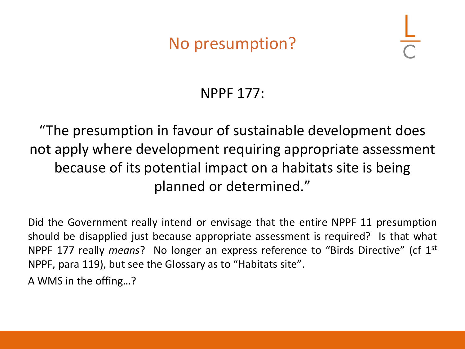### No presumption?

#### NPPF 177:

"The presumption in favour of sustainable development does not apply where development requiring appropriate assessment because of its potential impact on a habitats site is being planned or determined."

Did the Government really intend or envisage that the entire NPPF 11 presumption should be disapplied just because appropriate assessment is required? Is that what NPPF 177 really *means*? No longer an express reference to "Birds Directive" (cf 1<sup>st</sup> NPPF, para 119), but see the Glossary as to "Habitats site".

A WMS in the offing…?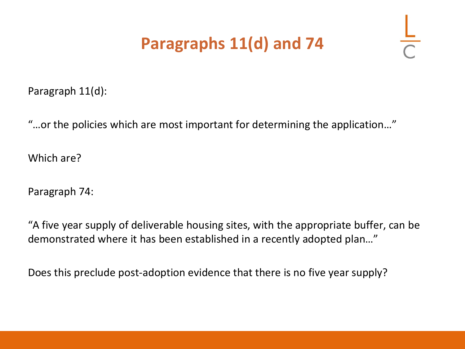## **Paragraphs 11(d) and 74**

Paragraph 11(d):

"…or the policies which are most important for determining the application…"

Which are?

Paragraph 74:

"A five year supply of deliverable housing sites, with the appropriate buffer, can be demonstrated where it has been established in a recently adopted plan…"

Does this preclude post-adoption evidence that there is no five year supply?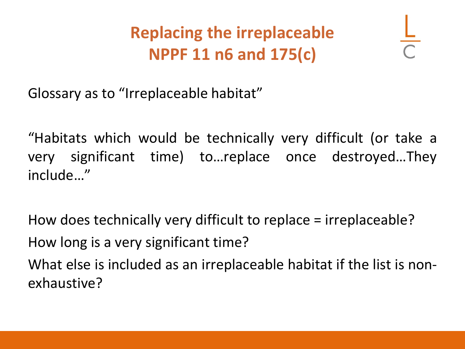**Replacing the irreplaceable NPPF 11 n6 and 175(c)**

Glossary as to "Irreplaceable habitat"

"Habitats which would be technically very difficult (or take a very significant time) to…replace once destroyed…They include…"

How does technically very difficult to replace = irreplaceable? How long is a very significant time? What else is included as an irreplaceable habitat if the list is nonexhaustive?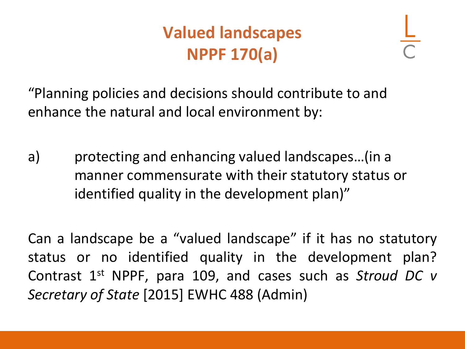# **Valued landscapes NPPF 170(a)**

"Planning policies and decisions should contribute to and enhance the natural and local environment by:

a) protecting and enhancing valued landscapes…(in a manner commensurate with their statutory status or identified quality in the development plan)"

Can a landscape be a "valued landscape" if it has no statutory status or no identified quality in the development plan? Contrast 1<sup>st</sup> NPPF, para 109, and cases such as *Stroud DC v Secretary of State* [2015] EWHC 488 (Admin)